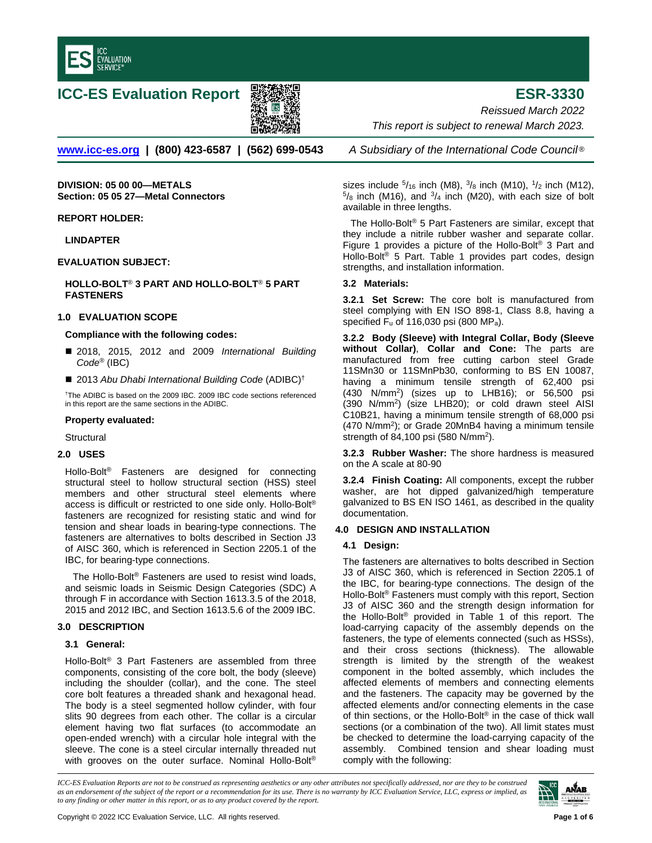

## **ICC-ES Evaluation Report ESR-3330**



*Reissued March 2022 This report is subject to renewal March 2023.* 

**[www.icc-es.org](http://www.icc-es.org/) | (800) 423-6587 | (562) 699-0543** *A Subsidiary of the International Code Council* ®

**DIVISION: 05 00 00—METALS Section: 05 05 27—Metal Connectors**

**REPORT HOLDER:**

**LINDAPTER**

**EVALUATION SUBJECT:** 

**HOLLO-BOLT**® **3 PART AND HOLLO-BOLT**® **5 PART FASTENERS** 

#### **1.0 EVALUATION SCOPE**

#### **Compliance with the following codes:**

- 2018, 2015, 2012 and 2009 *International Building Code®* (IBC)
- 2013 Abu Dhabi International Building Code (ADIBC)<sup>†</sup>

†The ADIBC is based on the 2009 IBC. 2009 IBC code sections referenced in this report are the same sections in the ADIBC.

#### **Property evaluated:**

**Structural** 

#### **2.0 USES**

Hollo-Bolt® Fasteners are designed for connecting structural steel to hollow structural section (HSS) steel members and other structural steel elements where access is difficult or restricted to one side only. Hollo-Bolt® fasteners are recognized for resisting static and wind for tension and shear loads in bearing-type connections. The fasteners are alternatives to bolts described in Section J3 of AISC 360, which is referenced in Section 2205.1 of the IBC, for bearing-type connections.

The Hollo-Bolt ® Fasteners are used to resist wind loads, and seismic loads in Seismic Design Categories (SDC) A through F in accordance with Section 1613.3.5 of the 2018, 2015 and 2012 IBC, and Section 1613.5.6 of the 2009 IBC.

### **3.0 DESCRIPTION**

#### **3.1 General:**

Hollo-Bolt® 3 Part Fasteners are assembled from three components, consisting of the core bolt, the body (sleeve) including the shoulder (collar), and the cone. The steel core bolt features a threaded shank and hexagonal head. The body is a steel segmented hollow cylinder, with four slits 90 degrees from each other. The collar is a circular element having two flat surfaces (to accommodate an open-ended wrench) with a circular hole integral with the sleeve. The cone is a steel circular internally threaded nut with grooves on the outer surface. Nominal Hollo-Bolt<sup>®</sup>

sizes include  $5/16$  inch (M8),  $3/8$  inch (M10),  $1/2$  inch (M12),  $5/8$  inch (M16), and  $3/4$  inch (M20), with each size of bolt available in three lengths.

The Hollo-Bolt® 5 Part Fasteners are similar, except that they include a nitrile rubber washer and separate collar. Figure 1 provides a picture of the Hollo-Bolt® 3 Part and Hollo-Bolt® 5 Part. Table 1 provides part codes, design strengths, and installation information.

#### **3.2 Materials:**

**3.2.1 Set Screw:** The core bolt is manufactured from steel complying with EN ISO 898-1, Class 8.8, having a specified Fu of 116,030 psi (800 MPa).

**3.2.2 Body (Sleeve) with Integral Collar, Body (Sleeve without Collar)**, **Collar and Cone:** The parts are manufactured from free cutting carbon steel Grade 11SMn30 or 11SMnPb30, conforming to BS EN 10087, having a minimum tensile strength of 62,400 psi  $(430$  N/mm<sup>2</sup>) (sizes up to LHB16); or 56,500 psi (390 N/mm2) (size LHB20); or cold drawn steel AISI C10B21, having a minimum tensile strength of 68,000 psi (470 N/mm<sup>2</sup>); or Grade 20MnB4 having a minimum tensile strength of 84,100 psi (580 N/mm2).

**3.2.3 Rubber Washer:** The shore hardness is measured on the A scale at 80-90

**3.2.4 Finish Coating:** All components, except the rubber washer, are hot dipped galvanized/high temperature galvanized to BS EN ISO 1461, as described in the quality documentation.

### **4.0 DESIGN AND INSTALLATION**

### **4.1 Design:**

The fasteners are alternatives to bolts described in Section J3 of AISC 360, which is referenced in Section 2205.1 of the IBC, for bearing-type connections. The design of the Hollo-Bolt® Fasteners must comply with this report, Section J3 of AISC 360 and the strength design information for the Hollo-Bolt® provided in Table 1 of this report. The load-carrying capacity of the assembly depends on the fasteners, the type of elements connected (such as HSSs), and their cross sections (thickness). The allowable strength is limited by the strength of the weakest component in the bolted assembly, which includes the affected elements of members and connecting elements and the fasteners. The capacity may be governed by the affected elements and/or connecting elements in the case of thin sections, or the Hollo-Bolt® in the case of thick wall sections (or a combination of the two). All limit states must be checked to determine the load-carrying capacity of the assembly. Combined tension and shear loading must comply with the following:

*ICC-ES Evaluation Reports are not to be construed as representing aesthetics or any other attributes not specifically addressed, nor are they to be construed as an endorsement of the subject of the report or a recommendation for its use. There is no warranty by ICC Evaluation Service, LLC, express or implied, as to any finding or other matter in this report, or as to any product covered by the report.*

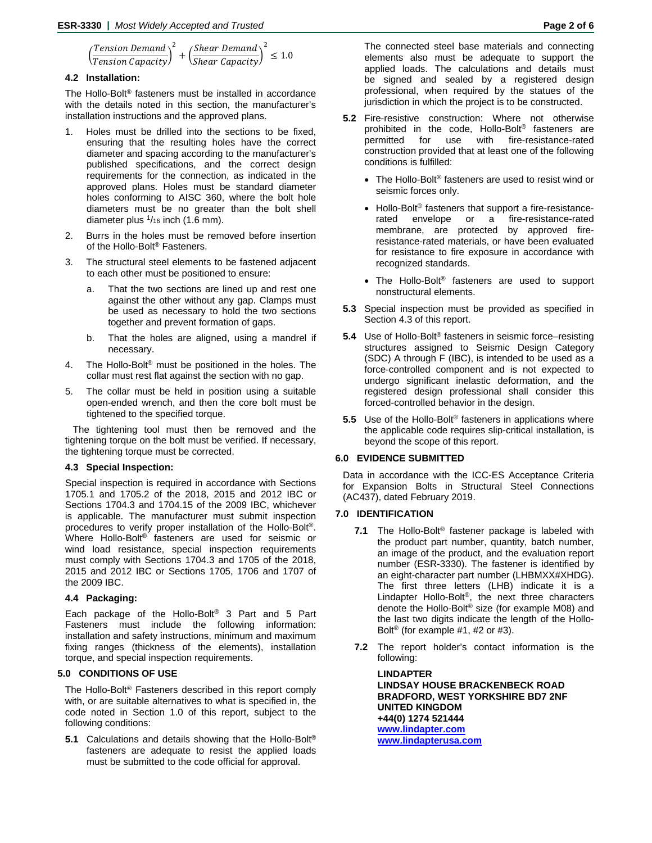$$
\left(\frac{Tension\ Demand}{Tension\ Capacity}\right)^2 + \left(\frac{Shear\ Demand}{Shear\ Capacity}\right)^2 \le 1.0
$$

#### **4.2 Installation:**

The Hollo-Bolt® fasteners must be installed in accordance with the details noted in this section, the manufacturer's installation instructions and the approved plans.

- Holes must be drilled into the sections to be fixed, ensuring that the resulting holes have the correct diameter and spacing according to the manufacturer's published specifications, and the correct design requirements for the connection, as indicated in the approved plans. Holes must be standard diameter holes conforming to AISC 360, where the bolt hole diameters must be no greater than the bolt shell diameter plus  $1/16$  inch (1.6 mm).
- 2. Burrs in the holes must be removed before insertion of the Hollo-Bolt® Fasteners.
- 3. The structural steel elements to be fastened adjacent to each other must be positioned to ensure:
	- That the two sections are lined up and rest one against the other without any gap. Clamps must be used as necessary to hold the two sections together and prevent formation of gaps.
	- b. That the holes are aligned, using a mandrel if necessary.
- 4. The Hollo-Bolt® must be positioned in the holes. The collar must rest flat against the section with no gap.
- 5. The collar must be held in position using a suitable open-ended wrench, and then the core bolt must be tightened to the specified torque.

The tightening tool must then be removed and the tightening torque on the bolt must be verified. If necessary, the tightening torque must be corrected.

#### **4.3 Special Inspection:**

Special inspection is required in accordance with Sections 1705.1 and 1705.2 of the 2018, 2015 and 2012 IBC or Sections 1704.3 and 1704.15 of the 2009 IBC, whichever is applicable. The manufacturer must submit inspection procedures to verify proper installation of the Hollo-Bolt®. Where Hollo-Bolt® fasteners are used for seismic or wind load resistance, special inspection requirements must comply with Sections 1704.3 and 1705 of the 2018, 2015 and 2012 IBC or Sections 1705, 1706 and 1707 of the 2009 IBC.

#### **4.4 Packaging:**

Each package of the Hollo-Bolt® 3 Part and 5 Part Fasteners must include the following information: installation and safety instructions, minimum and maximum fixing ranges (thickness of the elements), installation torque, and special inspection requirements.

#### **5.0 CONDITIONS OF USE**

The Hollo-Bolt® Fasteners described in this report comply with, or are suitable alternatives to what is specified in, the code noted in Section 1.0 of this report, subject to the following conditions:

**5.1** Calculations and details showing that the Hollo-Bolt® fasteners are adequate to resist the applied loads must be submitted to the code official for approval.

The connected steel base materials and connecting elements also must be adequate to support the applied loads. The calculations and details must be signed and sealed by a registered design professional, when required by the statues of the jurisdiction in which the project is to be constructed.

- **5.2** Fire-resistive construction: Where not otherwise prohibited in the code, Hollo-Bolt® fasteners are permitted for use with fire-resistance-rated construction provided that at least one of the following conditions is fulfilled:
	- The Hollo-Bolt® fasteners are used to resist wind or seismic forces only.
	- Hollo-Bolt<sup>®</sup> fasteners that support a fire-resistancerated envelope or a fire-resistance-rated membrane, are protected by approved fireresistance-rated materials, or have been evaluated for resistance to fire exposure in accordance with recognized standards.
	- The Hollo-Bolt<sup>®</sup> fasteners are used to support nonstructural elements.
- **5.3** Special inspection must be provided as specified in Section 4.3 of this report.
- **5.4** Use of Hollo-Bolt® fasteners in seismic force–resisting structures assigned to Seismic Design Category (SDC) A through F (IBC), is intended to be used as a force-controlled component and is not expected to undergo significant inelastic deformation, and the registered design professional shall consider this forced-controlled behavior in the design.
- **5.5** Use of the Hollo-Bolt® fasteners in applications where the applicable code requires slip-critical installation, is beyond the scope of this report.

#### **6.0 EVIDENCE SUBMITTED**

Data in accordance with the ICC-ES Acceptance Criteria for Expansion Bolts in Structural Steel Connections (AC437), dated February 2019.

#### **7.0 IDENTIFICATION**

- **7.1** The Hollo-Bolt® fastener package is labeled with the product part number, quantity, batch number, an image of the product, and the evaluation report number (ESR-3330). The fastener is identified by an eight-character part number (LHBMXX#XHDG). The first three letters (LHB) indicate it is a Lindapter Hollo-Bolt®, the next three characters denote the Hollo-Bolt® size (for example M08) and the last two digits indicate the length of the Hollo-Bolt<sup>®</sup> (for example #1, #2 or #3).
- **7.2** The report holder's contact information is the following:

**LINDAPTER LINDSAY HOUSE BRACKENBECK ROAD BRADFORD, WEST YORKSHIRE BD7 2NF UNITED KINGDOM +44(0) 1274 521444 [www.lindapter.com](http://www.lindapter.com/) [www.lindapterusa.com](https://www.lindapterusa.com/)**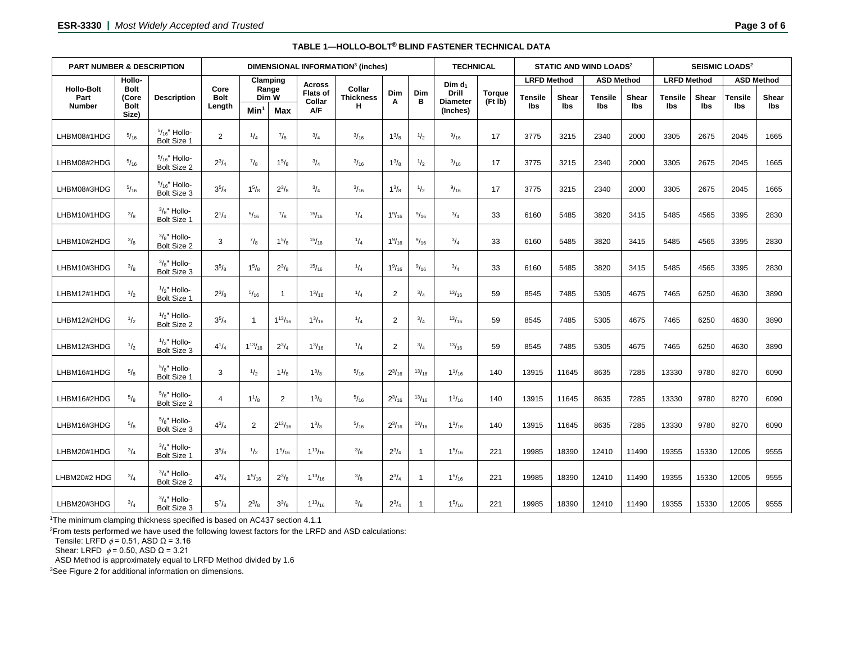| <b>PART NUMBER &amp; DESCRIPTION</b>       |                                                        |                                               | DIMENSIONAL INFORMATION <sup>3</sup> (inches) |                            |                |                                  |                            |                 |                | <b>TECHNICAL</b>                   |               | <b>STATIC AND WIND LOADS<sup>2</sup></b> |       |                   |       | <b>SEISMIC LOADS<sup>2</sup></b> |       |                   |              |
|--------------------------------------------|--------------------------------------------------------|-----------------------------------------------|-----------------------------------------------|----------------------------|----------------|----------------------------------|----------------------------|-----------------|----------------|------------------------------------|---------------|------------------------------------------|-------|-------------------|-------|----------------------------------|-------|-------------------|--------------|
|                                            | Hollo-<br><b>Bolt</b><br>(Core<br><b>Bolt</b><br>Size) | <b>Description</b>                            |                                               | Clamping<br>Range<br>Dim W |                | <b>Across</b><br><b>Flats of</b> | Collar<br><b>Thickness</b> | Dim             | Dim            | Dim d <sub>1</sub><br><b>Drill</b> |               | <b>LRFD Method</b>                       |       | <b>ASD Method</b> |       | <b>LRFD Method</b>               |       | <b>ASD Method</b> |              |
| <b>Hollo-Bolt</b><br>Part<br><b>Number</b> |                                                        |                                               | Core<br><b>Bolt</b><br>Length                 |                            |                |                                  |                            |                 |                |                                    | <b>Torque</b> | Tensile                                  | Shear | <b>Tensile</b>    | Shear | <b>Tensile</b>                   | Shear | Tensile           | <b>Shear</b> |
|                                            |                                                        |                                               |                                               | Min <sup>1</sup>           | Max            | Collar<br>A/F                    | н                          | A               | B              | <b>Diameter</b><br>(Inches)        | (Ft Ib)       | lbs                                      | lbs   | lbs               | lbs   | <b>Ibs</b>                       | lbs   | lbs               | lbs          |
| LHBM08#1HDG                                | $^{5}/_{16}$                                           | $5/_{16}$ " Hollo-<br>Bolt Size 1             | $\overline{2}$                                | $^{1}/_{4}$                | $^{7}/_8$      | $^{3}/_{4}$                      | $^{3}/_{16}$               | $1^{3}/8$       | $\frac{1}{2}$  | 9/16                               | 17            | 3775                                     | 3215  | 2340              | 2000  | 3305                             | 2675  | 2045              | 1665         |
| LHBM08#2HDG                                | $^{5}/_{16}$                                           | $5/16$ " Hollo-<br>Bolt Size 2                | $2^{3}/_{4}$                                  | $^{7}/_{8}$                | $1^{5}/8$      | $^{3}/_{4}$                      | $^{3}/_{16}$               | $1^{3}/_{8}$    | $\frac{1}{2}$  | 9/16                               | 17            | 3775                                     | 3215  | 2340              | 2000  | 3305                             | 2675  | 2045              | 1665         |
| LHBM08#3HDG                                | 5/16                                                   | $5/16$ " Hollo-<br>Bolt Size 3                | $3^{5}/8$                                     | $1^{5}/_8$                 | $2^{3}/_{8}$   | $^{3}/_{4}$                      | $^{3}/_{16}$               | $1^{3}/_{8}$    | $\frac{1}{2}$  | 9/16                               | 17            | 3775                                     | 3215  | 2340              | 2000  | 3305                             | 2675  | 2045              | 1665         |
| LHBM10#1HDG                                | $^{3}/_{8}$                                            | $\frac{3}{8}$ " Hollo-<br>Bolt Size 1         | $2^{1/4}$                                     | $^{5}/_{16}$               | $\frac{7}{8}$  | 15/16                            | $^{1}/_{4}$                | $1\frac{9}{16}$ | 9/16           | $^{3}/_{4}$                        | 33            | 6160                                     | 5485  | 3820              | 3415  | 5485                             | 4565  | 3395              | 2830         |
| LHBM10#2HDG                                | $^{3}/_{8}$                                            | $3/8$ " Hollo-<br>Bolt Size 2                 | 3                                             | $^{7}/_{8}$                | $1^{5}/8$      | 15/16                            | $^{1}/_{4}$                | $1\frac{9}{16}$ | 9/16           | 3/4                                | 33            | 6160                                     | 5485  | 3820              | 3415  | 5485                             | 4565  | 3395              | 2830         |
| LHBM10#3HDG                                | $^{3}/_{8}$                                            | $3/8$ " Hollo-<br>Bolt Size 3                 | $3^{5}/8$                                     | $1^{5}/_8$                 | $2^{3}/_{8}$   | 15/16                            | $^{1}/_{4}$                | $1\frac{9}{16}$ | $^{9}/_{16}$   | $^{3}/_{4}$                        | 33            | 6160                                     | 5485  | 3820              | 3415  | 5485                             | 4565  | 3395              | 2830         |
| LHBM12#1HDG                                | $^{1/2}$                                               | $1/2$ " Hollo-<br>Bolt Size 1                 | $2^{3}/_{8}$                                  | 5/16                       | $\overline{1}$ | $1^{3}/_{16}$                    | 1/4                        | $\overline{2}$  | $^{3}/_{4}$    | 13/16                              | 59            | 8545                                     | 7485  | 5305              | 4675  | 7465                             | 6250  | 4630              | 3890         |
| LHBM12#2HDG                                | $\frac{1}{2}$                                          | $1/2$ " Hollo-<br>Bolt Size 2                 | $3^{5}/8$                                     | $\overline{1}$             | $1^{13}/16$    | $1^{3}/_{16}$                    | $^{1}/_{4}$                | $\overline{2}$  | $^{3}/_{4}$    | 13/16                              | 59            | 8545                                     | 7485  | 5305              | 4675  | 7465                             | 6250  | 4630              | 3890         |
| LHBM12#3HDG                                | $\frac{1}{2}$                                          | $1/2$ " Hollo-<br>Bolt Size 3                 | $4^{1}/_{4}$                                  | $1^{13}/_{16}$             | $2^{3}/_{4}$   | $1^{3}/_{16}$                    | $^{1}/_{4}$                | $\overline{2}$  | $^{3}/_{4}$    | 13/16                              | 59            | 8545                                     | 7485  | 5305              | 4675  | 7465                             | 6250  | 4630              | 3890         |
| LHBM16#1HDG                                | $^{5}/_{8}$                                            | $5/8"$ Hollo-<br><b>Bolt Size 1</b>           | 3                                             | $\frac{1}{2}$              | $1^{1}/_{8}$   | $1^{3}/_{8}$                     | 5/16                       | $2^{3}/_{16}$   | 13/16          | $1^{1/16}$                         | 140           | 13915                                    | 11645 | 8635              | 7285  | 13330                            | 9780  | 8270              | 6090         |
| LHBM16#2HDG                                | 5/8                                                    | $5\frac{1}{8}$ " Hollo-<br><b>Bolt Size 2</b> | $\overline{4}$                                | $1^{1/3}$                  | $\overline{2}$ | $1^{3}/_{8}$                     | 5/16                       | $2^{3}/_{16}$   | 13/16          | $1^{1/16}$                         | 140           | 13915                                    | 11645 | 8635              | 7285  | 13330                            | 9780  | 8270              | 6090         |
| LHBM16#3HDG                                | $^{5}/_{8}$                                            | $5\frac{1}{8}$ " Hollo-<br>Bolt Size 3        | $4^{3}/_{4}$                                  | 2                          | $2^{13}/_{16}$ | $1^{3}/8$                        | $^{5}/_{16}$               | $2^{3}/_{16}$   | 13/16          | $1^{1/16}$                         | 140           | 13915                                    | 11645 | 8635              | 7285  | 13330                            | 9780  | 8270              | 6090         |
| LHBM20#1HDG                                | $^{3}/_{4}$                                            | $3/4"$ Hollo-<br>Bolt Size 1                  | $3^{5}/8$                                     | $\frac{1}{2}$              | $1^{5}/_{16}$  | $1^{13}/_{16}$                   | $^{3}/_{8}$                | $2^{3}/_{4}$    | $\mathbf{1}$   | $1^{5}/_{16}$                      | 221           | 19985                                    | 18390 | 12410             | 11490 | 19355                            | 15330 | 12005             | 9555         |
| LHBM20#2 HDG                               | $^{3}/_{4}$                                            | $3/4$ " Hollo-<br>Bolt Size 2                 | $4^{3}/_{4}$                                  | $1^{5/16}$                 | $2^{3}/_{8}$   | $1^{13}/_{16}$                   | $\frac{3}{8}$              | $2^{3}/_{4}$    | $\mathbf{1}$   | $1^{5}/_{16}$                      | 221           | 19985                                    | 18390 | 12410             | 11490 | 19355                            | 15330 | 12005             | 9555         |
| LHBM20#3HDG                                | 3/4                                                    | $3/4$ " Hollo-<br>Bolt Size 3                 | $5^7$ / $\rm{R}$                              | $2^{3}/_{8}$               | $3^{3}/8$      | $1^{13}/_{16}$                   | $\frac{3}{8}$              | $2^{3}/_{4}$    | $\overline{1}$ | $1^{5}/_{16}$                      | 221           | 19985                                    | 18390 | 12410             | 11490 | 19355                            | 15330 | 12005             | 9555         |

#### **TABLE 1—HOLLO-BOLT® BLIND FASTENER TECHNICAL DATA**

1The minimum clamping thickness specified is based on AC437 section 4.1.1

<sup>2</sup>From tests performed we have used the following lowest factors for the LRFD and ASD calculations:

Tensile: LRFD  $\phi$  = 0.51, ASD  $\Omega$  = 3.16

Shear: LRFD  $\phi$  = 0.50, ASD  $\Omega$  = 3.21

ASD Method is approximately equal to LRFD Method divided by 1.6

<sup>3</sup>See Figure 2 for additional information on dimensions.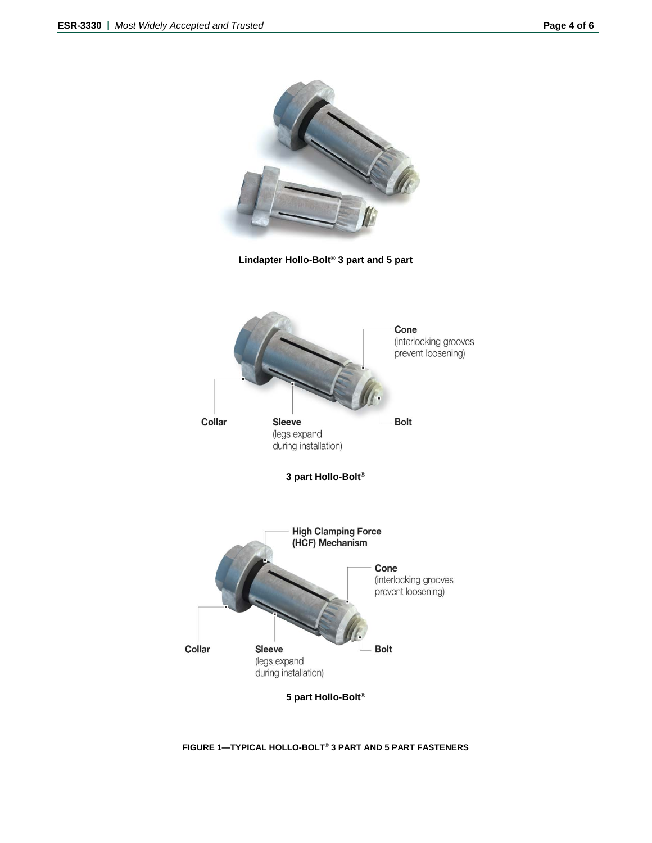

**FIGURE 1—TYPICAL HOLLO-BOLT**® **3 PART AND 5 PART FASTENERS**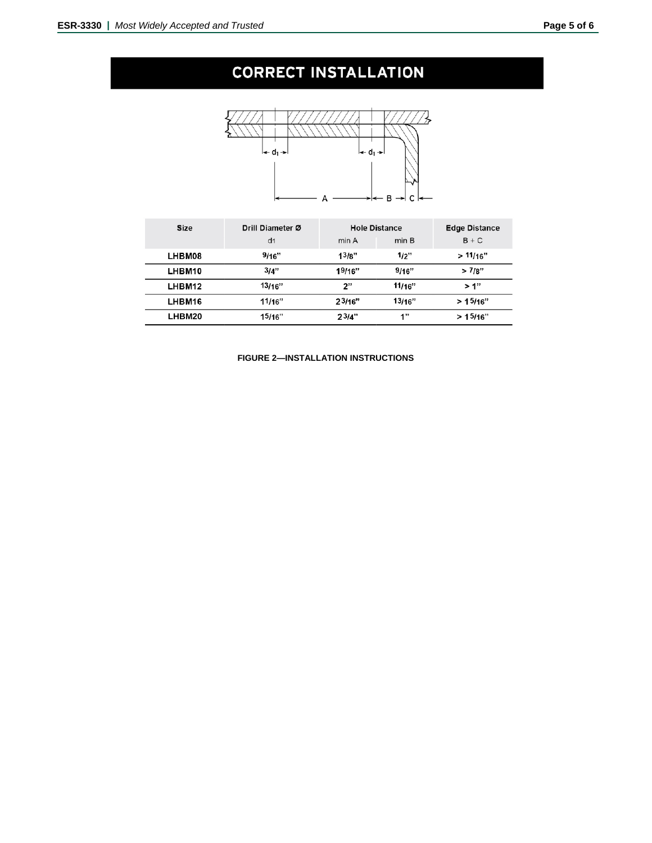# **CORRECT INSTALLATION**



| Size          | Drill Diameter Ø |        | <b>Hole Distance</b> | <b>Edge Distance</b> |  |  |
|---------------|------------------|--------|----------------------|----------------------|--|--|
|               | d <sub>1</sub>   | min A  | min B                | $B + C$              |  |  |
| <b>LHBM08</b> | 9/16"            | 13/8"  | 1/2"                 | >11/16"              |  |  |
| LHBM10        | 3/4"             | 19/16" | 9/16"                | >7/8"                |  |  |
| LHBM12        | 13/16"           | 2"     | 11/16"               | >1"                  |  |  |
| LHBM16        | 11/16"           | 23/16" | 13/16"               | >15/16"              |  |  |
| LHBM20        | 15/16"           | 23/4"  | 1"                   | >15/16"              |  |  |

**FIGURE 2—INSTALLATION INSTRUCTIONS**